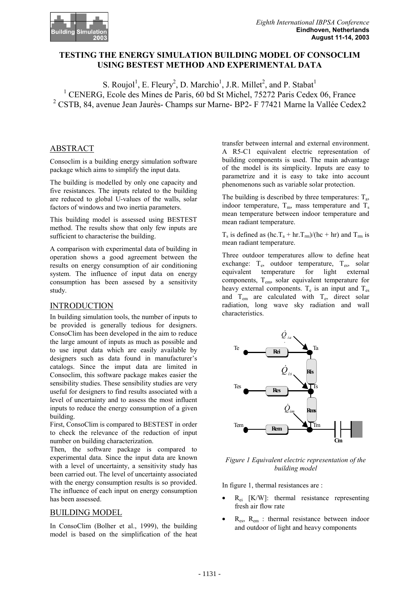# **TESTING THE ENERGY SIMULATION BUILDING MODEL OF CONSOCLIM USING BESTEST METHOD AND EXPERIMENTAL DATA**

S. Roujol<sup>1</sup>, E. Fleury<sup>2</sup>, D. Marchio<sup>1</sup>, J.R. Millet<sup>2</sup>, and P. Stabat<sup>1</sup> <sup>1</sup> CENERG, Ecole des Mines de Paris, 60 bd St Michel, 75272 Paris Cedex 06, France <sup>2</sup> CSTB, 84, avenue Jean Jaurès- Champs sur Marne- BP2- F 77421 Marne la Vallée Cedex2

# ABSTRACT

Consoclim is a building energy simulation software package which aims to simplify the input data.

The building is modelled by only one capacity and five resistances. The inputs related to the building are reduced to global U-values of the walls, solar factors of windows and two inertia parameters.

This building model is assessed using BESTEST method. The results show that only few inputs are sufficient to characterise the building.

A comparison with experimental data of building in operation shows a good agreement between the results on energy consumption of air conditioning system. The influence of input data on energy consumption has been assesed by a sensitivity study.

### INTRODUCTION

In building simulation tools, the number of inputs to be provided is generally tedious for designers. ConsoClim has been developed in the aim to reduce the large amount of inputs as much as possible and to use input data which are easily available by designers such as data found in manufacturer's catalogs. Since the imput data are limited in Consoclim, this software package makes easier the sensibility studies. These sensibility studies are very useful for designers to find results associated with a level of uncertainty and to assess the most influent inputs to reduce the energy consumption of a given building.

First, ConsoClim is compared to BESTEST in order to check the relevance of the reduction of input number on building characterization.

Then, the software package is compared to experimental data. Since the input data are known with a level of uncertainty, a sensitivity study has been carried out. The level of uncertainty associated with the energy consumption results is so provided. The influence of each input on energy consumption has been assessed.

## BUILDING MODEL

In ConsoClim (Bolher et al., 1999), the building model is based on the simplification of the heat

transfer between internal and external environment. A R5-C1 equivalent electric representation of building components is used. The main advantage of the model is its simplicity. Inputs are easy to parametrize and it is easy to take into account phenomenons such as variable solar protection.

The building is described by three temperatures:  $T_a$ , indoor temperature,  $T_m$ , mass temperature and  $T_s$ mean temperature between indoor temperature and mean radiant temperature.

 $T_s$  is defined as (hc.  $T_a$  + hr.  $T_{rm}/($ hc + hr) and  $T_{rm}$  is mean radiant temperature.

Three outdoor temperatures allow to define heat exchange:  $T_e$ , outdoor temperature,  $T_{es}$ , solar equivalent temperature for light external components, Tem, solar equivalent temperature for heavy external components.  $T_e$  is an input and  $T_{es}$ and  $T_{em}$  are calculated with  $T_{e}$ , direct solar radiation, long wave sky radiation and wall characteristics.



*Figure 1 Equivalent electric representation of the building model*

In figure 1, thermal resistances are :

- $R_{ei}$  [K/W]: thermal resistance representing fresh air flow rate
- $R_{\text{es}}$ ,  $R_{\text{em}}$  : thermal resistance between indoor and outdoor of light and heavy components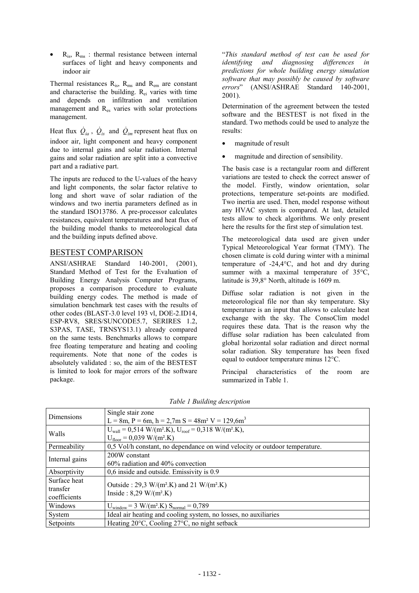$R_{\text{is}}$ ,  $R_{\text{ms}}$ : thermal resistance between internal surfaces of light and heavy components and indoor air

Thermal resistances  $R_{is}$ ,  $R_{ms}$  and  $R_{em}$  are constant and characterise the building. Rei varies with time and depends on infiltration and ventilation management and Res varies with solar protections management.

Heat flux  $\dot{Q}_{ia}$ ,  $\dot{Q}_{is}$  and  $\dot{Q}_{im}$  represent heat flux on indoor air, light component and heavy component due to internal gains and solar radiation. Internal gains and solar radiation are split into a convective part and a radiative part.

The inputs are reduced to the U-values of the heavy and light components, the solar factor relative to long and short wave of solar radiation of the windows and two inertia parameters defined as in the standard ISO13786. A pre-processor calculates resistances, equivalent temperatures and heat flux of the building model thanks to meteorological data and the building inputs defined above.

## BESTEST COMPARISON

ANSI/ASHRAE Standard 140-2001, (2001), Standard Method of Test for the Evaluation of Building Energy Analysis Computer Programs, proposes a comparison procedure to evaluate building energy codes. The method is made of simulation benchmark test cases with the results of other codes (BLAST-3.0 level 193 vl, DOE-2.ID14, ESP-RV8, SRES/SUNCODE5.7, SERIRES 1.2, S3PAS, TASE, TRNSYS13.1) already compared on the same tests. Benchmarks allows to compare free floating temperature and heating and cooling requirements. Note that none of the codes is absolutely validated : so, the aim of the BESTEST is limited to look for major errors of the software package.

"*This standard method of test can be used for identifying and diagnosing differences in predictions for whole building energy simulation software that may possibly be caused by software errors*" (ANSI/ASHRAE Standard 140-2001, 2001).

Determination of the agreement between the tested software and the BESTEST is not fixed in the standard. Two methods could be used to analyze the results:

- magnitude of result
- magnitude and direction of sensibility.

The basis case is a rectangular room and different variations are tested to check the correct answer of the model. Firstly, window orientation, solar protections, temperature set-points are modified. Two inertia are used. Then, model response without any HVAC system is compared. At last, detailed tests allow to check algorithms. We only present here the results for the first step of simulation test.

The meteorological data used are given under Typical Meteorological Year format (TMY). The chosen climate is cold during winter with a minimal temperature of -24,4°C, and hot and dry during summer with a maximal temperature of 35°C, latitude is 39,8° North, altitude is 1609 m.

Diffuse solar radiation is not given in the meteorological file nor than sky temperature. Sky temperature is an input that allows to calculate heat exchange with the sky. The ConsoClim model requires these data. That is the reason why the diffuse solar radiation has been calculated from global horizontal solar radiation and direct normal solar radiation. Sky temperature has been fixed equal to outdoor temperature minus 12°C.

Principal characteristics of the room are summarized in Table 1.

| <b>Dimensions</b> | Single stair zone                                                                                     |
|-------------------|-------------------------------------------------------------------------------------------------------|
|                   | $L = 8m$ , $P = 6m$ , $h = 2.7m$ S = 48m <sup>2</sup> V = 129,6m <sup>3</sup>                         |
| Walls             | $U_{\text{wall}} = 0.514 \text{ W/(m}^2 \text{K}), U_{\text{roof}} = 0.318 \text{ W/(m}^2 \text{K}),$ |
|                   | $U_{floor} = 0,039$ W/(m <sup>2</sup> .K)                                                             |
| Permeability      | 0,5 Vol/h constant, no dependance on wind velocity or outdoor temperature.                            |
| Internal gains    | 200W constant                                                                                         |
|                   | $60\%$ radiation and 40% convection                                                                   |
| Absorptivity      | 0,6 inside and outside. Emissivity is 0.9                                                             |
| Surface heat      | Outside : 29,3 W/(m <sup>2</sup> .K) and 21 W/(m <sup>2</sup> .K)                                     |
| transfer          | Inside : $8,29$ W/(m <sup>2</sup> .K)                                                                 |
| coefficients      |                                                                                                       |
| Windows           | $U_{window} = 3 W/(m^2.K) S_{normal} = 0,789$                                                         |
| System            | Ideal air heating and cooling system, no losses, no auxiliaries                                       |
| Setpoints         | Heating 20°C, Cooling 27°C, no night setback                                                          |

*Table 1 Building description*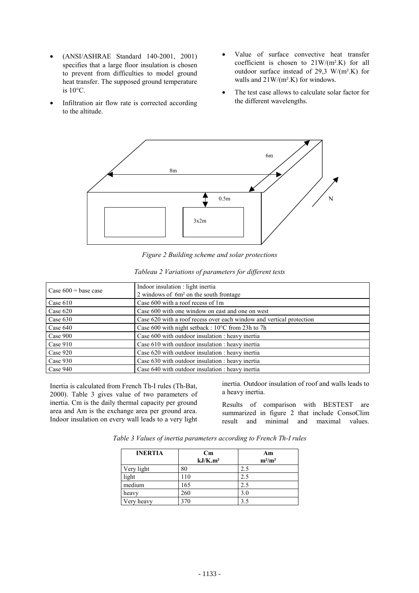- (ANSI/ASHRAE Standard 140-2001, 2001) specifies that a large floor insulation is chosen to prevent from difficulties to model ground heat transfer. The supposed ground temperature is  $10^{\circ}$ C.
- Infiltration air flow rate is corrected according to the altitude.
- Value of surface convective heat transfer coefficient is chosen to 21W/(m².K) for all outdoor surface instead of 29,3  $W/(m^2)$ . for walls and 21W/(m².K) for windows.
- The test case allows to calculate solar factor for the different wavelengths.



*Figure 2 Building scheme and solar protections*

| Case $600 = \text{base case}$ | Indoor insulation : light inertia                                    |
|-------------------------------|----------------------------------------------------------------------|
|                               | 2 windows of 6m <sup>2</sup> on the south frontage                   |
| Case 610                      | Case 600 with a roof recess of 1m                                    |
| Case 620                      | Case 600 with one window on east and one on west                     |
| Case $630$                    | Case 620 with a roof recess over each window and vertical protection |
| $\text{Case } 640$            | Case 600 with night setback : 10°C from 23h to 7h                    |
| Case 900                      | Case 600 with outdoor insulation : heavy inertia                     |
| $\text{Case } 910$            | Case 610 with outdoor insulation : heavy inertia                     |
| Case 920                      | Case 620 with outdoor insulation : heavy inertia                     |
| Case 930                      | Case 630 with outdoor insulation : heavy inertia                     |
| Case 940                      | Case 640 with outdoor insulation : heavy inertia                     |

*Tableau 2 Variations of parameters for different tests*

Inertia is calculated from French Th-I rules (Th-Bat, 2000). Table 3 gives value of two parameters of inertia. Cm is the daily thermal capacity per ground area and Am is the exchange area per ground area. Indoor insulation on every wall leads to a very light

inertia. Outdoor insulation of roof and walls leads to a heavy inertia.

Results of comparison with BESTEST are summarized in figure 2 that include ConsoClim result and minimal and maximal values.

*Table 3 Values of inertia parameters according to French Th-I rules*

| <b>INERTIA</b> | $\mathbf{C}\mathbf{m}$<br>kJ/K.m <sup>2</sup> | Am<br>$m^2/m^2$ |
|----------------|-----------------------------------------------|-----------------|
| Very light     | 80                                            | 2.5             |
| light          | 110                                           | 2.5             |
| medium         | 165                                           | 2.5             |
| heavy          | 260                                           | 3.0             |
| Very heavy     | 370                                           |                 |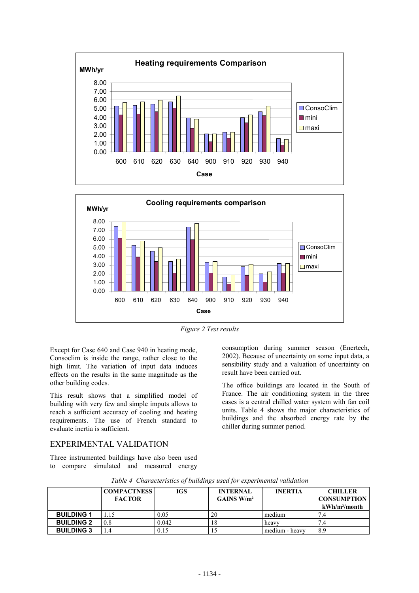



*Figure 2 Test results*

Except for Case 640 and Case 940 in heating mode, Consoclim is inside the range, rather close to the high limit. The variation of input data induces effects on the results in the same magnitude as the other building codes.

This result shows that a simplified model of building with very few and simple imputs allows to reach a sufficient accuracy of cooling and heating requirements. The use of French standard to evaluate inertia is sufficient.

# EXPERIMENTAL VALIDATION

Three instrumented buildings have also been used to compare simulated and measured energy

consumption during summer season (Enertech, 2002). Because of uncertainty on some input data, a sensibility study and a valuation of uncertainty on result have been carried out.

The office buildings are located in the South of France. The air conditioning system in the three cases is a central chilled water system with fan coil units. Table 4 shows the major characteristics of buildings and the absorbed energy rate by the chiller during summer period.

|                   | <b>COMPACTNESS</b><br><b>FACTOR</b> | <b>IGS</b> | <b>INTERNAL</b><br>GAINS W/m <sup>2</sup> | <b>INERTIA</b> | <b>CHILLER</b><br><b>CONSUMPTION</b> |  |
|-------------------|-------------------------------------|------------|-------------------------------------------|----------------|--------------------------------------|--|
|                   |                                     |            |                                           |                | $kWh/m^2/month$                      |  |
| <b>BUILDING 1</b> | 1.15                                | 0.05       | 20                                        | medium         | 7.4                                  |  |
| <b>BUILDING 2</b> | 0.8                                 | 0.042      | 18                                        | heavy          | 7.4                                  |  |
| <b>BUILDING 3</b> | .4                                  | 0.15       |                                           | medium - heavy | 8.9                                  |  |

*Table 4 Characteristics of buildings used for experimental validation*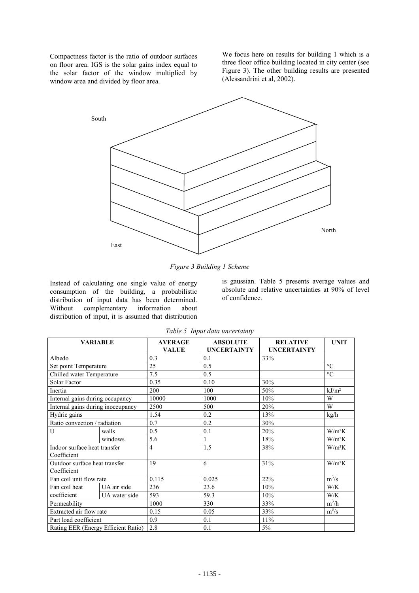Compactness factor is the ratio of outdoor surfaces on floor area. IGS is the solar gains index equal to the solar factor of the window multiplied by window area and divided by floor area.

We focus here on results for building 1 which is a three floor office building located in city center (see Figure 3). The other building results are presented (Alessandrini et al, 2002).



*Figure 3 Building 1 Scheme*

Instead of calculating one single value of energy consumption of the building, a probabilistic distribution of input data has been determined. Without complementary information about distribution of input, it is assumed that distribution

is gaussian. Table 5 presents average values and absolute and relative uncertainties at 90% of level of confidence.

| <b>VARIABLE</b>                     |               | <b>AVERAGE</b> | <b>ABSOLUTE</b>    | <b>RELATIVE</b>    | <b>UNIT</b>       |
|-------------------------------------|---------------|----------------|--------------------|--------------------|-------------------|
|                                     |               | <b>VALUE</b>   | <b>UNCERTAINTY</b> | <b>UNCERTAINTY</b> |                   |
| Albedo                              |               | 0.3            | 0.1                | 33%                |                   |
| Set point Temperature               |               | 25             | 0.5                |                    | $\rm ^{\circ}C$   |
| Chilled water Temperature           |               | 7.5            | 0.5                |                    | $\rm ^{\circ}C$   |
| Solar Factor                        |               | 0.35           | 0.10               | 30%                |                   |
| Inertia                             |               | 200            | 100                | 50%                | kJ/m <sup>2</sup> |
| Internal gains during occupancy     |               | 10000          | 1000               | 10%                | W                 |
| Internal gains during inoccupancy   |               | 2500           | 500                | 20%                | W                 |
| Hydric gains                        |               | 1.54           | 0.2                | 13%                | kg/h              |
| Ratio convection / radiation        |               | 0.7            | 0.2                | 30%                |                   |
| U                                   | walls         | 0.5            | 0.1                | 20%                | $W/m^2K$          |
|                                     | windows       | 5.6            |                    | 18%                | $W/m^2K$          |
| Indoor surface heat transfer        |               | $\overline{4}$ | 1.5                | 38%                | $W/m^2K$          |
| Coefficient                         |               |                |                    |                    |                   |
| Outdoor surface heat transfer       |               | 19             | 6                  | 31%                | $W/m^2K$          |
| Coefficient                         |               |                |                    |                    |                   |
| Fan coil unit flow rate             |               | 0.115          | 0.025              | 22%                | $m^3/s$           |
| Fan coil heat                       | UA air side   | 236            | 23.6               | 10%                | W/K               |
| coefficient                         | UA water side | 593            | 59.3               | 10%                | W/K               |
| Permeability                        |               | 1000           | 330                | 33%                | $m^3/h$           |
| Extracted air flow rate             |               | 0.15           | 0.05               | 33%                | $m^3/s$           |
| Part load coefficient               |               | 0.9            | 0.1                | 11%                |                   |
| Rating EER (Energy Efficient Ratio) |               | 2.8            | 0.1                | $5\%$              |                   |

*Table 5 Input data uncertainty*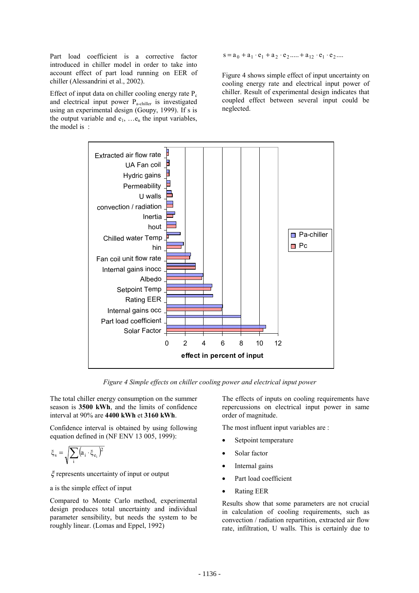Part load coefficient is a corrective factor introduced in chiller model in order to take into account effect of part load running on EER of chiller (Alessandrini et al., 2002).

Effect of input data on chiller cooling energy rate  $P_c$ and electrical input power Pa-chiller is investigated using an experimental design (Goupy, 1999). If s is the output variable and  $e_1$ , ... $e_n$  the input variables, the model is :

 $s = a_0 + a_1 \cdot e_1 + a_2 \cdot e_2 + a_1 \cdot e_1 \cdot e_2 + \cdots$ 

Figure 4 shows simple effect of input uncertainty on cooling energy rate and electrical input power of chiller. Result of experimental design indicates that coupled effect between several input could be neglected.



*Figure 4 Simple effects on chiller cooling power and electrical input power*

The total chiller energy consumption on the summer season is **3500 kWh**, and the limits of confidence interval at 90% are **4400 kWh** et **3160 kWh**.

Confidence interval is obtained by using following equation defined in (NF ENV 13 005, 1999):

$$
\xi_s = \sqrt{\sum_i \bigl(a_i \cdot \xi_{e_i}\bigr)^{\!2}}
$$

ξ represents uncertainty of input or output

a is the simple effect of input

Compared to Monte Carlo method, experimental design produces total uncertainty and individual parameter sensibility, but needs the system to be roughly linear. (Lomas and Eppel, 1992)

The effects of inputs on cooling requirements have repercussions on electrical input power in same order of magnitude.

The most influent input variables are :

- Setpoint temperature
- Solar factor
- Internal gains
- Part load coefficient
- Rating EER

Results show that some parameters are not crucial in calculation of cooling requirements, such as convection / radiation repartition, extracted air flow rate, infiltration, U walls. This is certainly due to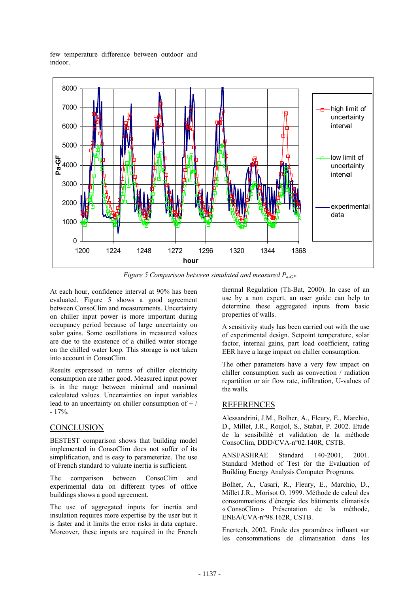few temperature difference between outdoor and indoor.



*Figure 5 Comparison between simulated and measured Pa-GF*

At each hour, confidence interval at 90% has been evaluated. Figure 5 shows a good agreement between ConsoClim and measurements. Uncertainty on chiller input power is more important during occupancy period because of large uncertainty on solar gains. Some oscillations in measured values are due to the existence of a chilled water storage on the chilled water loop. This storage is not taken into account in ConsoClim.

Results expressed in terms of chiller electricity consumption are rather good. Measured input power is in the range between minimal and maximal calculated values. Uncertainties on input variables lead to an uncertainty on chiller consumption of  $+ /$  $-17\%$ .

### **CONCLUSION**

BESTEST comparison shows that building model implemented in ConsoClim does not suffer of its simplification, and is easy to parameterize. The use of French standard to valuate inertia is sufficient.

The comparison between ConsoClim and experimental data on different types of office buildings shows a good agreement.

The use of aggregated inputs for inertia and insulation requires more expertise by the user but it is faster and it limits the error risks in data capture. Moreover, these inputs are required in the French

thermal Regulation (Th-Bat, 2000). In case of an use by a non expert, an user guide can help to determine these aggregated inputs from basic properties of walls.

A sensitivity study has been carried out with the use of experimental design. Setpoint temperature, solar factor, internal gains, part load coefficient, rating EER have a large impact on chiller consumption.

The other parameters have a very few impact on chiller consumption such as convection / radiation repartition or air flow rate, infiltration, U-values of the walls.

## REFERENCES

Alessandrini, J.M., Bolher, A., Fleury, E., Marchio, D., Millet, J.R., Roujol, S., Stabat, P. 2002. Etude de la sensibilité et validation de la méthode ConsoClim, DDD/CVA-n°02.140R, CSTB.

ANSI/ASHRAE Standard 140-2001, 2001. Standard Method of Test for the Evaluation of Building Energy Analysis Computer Programs.

Bolher, A., Casari, R., Fleury, E., Marchio, D., Millet J.R., Morisot O. 1999. Méthode de calcul des consommations d'énergie des bâtiments climatisés « ConsoClim » Présentation de la méthode, ENEA/CVA-n°98.162R, CSTB.

Enertech, 2002. Etude des paramètres influant sur les consommations de climatisation dans les